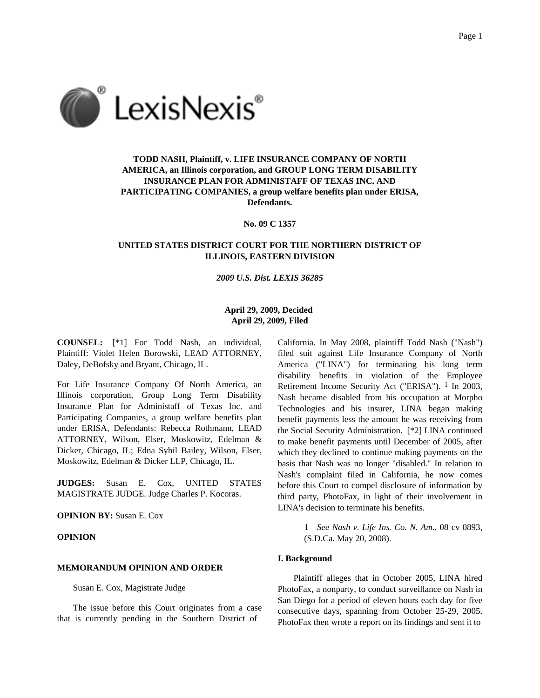

# **TODD NASH, Plaintiff, v. LIFE INSURANCE COMPANY OF NORTH AMERICA, an Illinois corporation, and GROUP LONG TERM DISABILITY INSURANCE PLAN FOR ADMINISTAFF OF TEXAS INC. AND PARTICIPATING COMPANIES, a group welfare benefits plan under ERISA, Defendants.**

**No. 09 C 1357**

## **UNITED STATES DISTRICT COURT FOR THE NORTHERN DISTRICT OF ILLINOIS, EASTERN DIVISION**

#### *2009 U.S. Dist. LEXIS 36285*

# **April 29, 2009, Decided April 29, 2009, Filed**

**COUNSEL:** [\*1] For Todd Nash, an individual, Plaintiff: Violet Helen Borowski, LEAD ATTORNEY, Daley, DeBofsky and Bryant, Chicago, IL.

For Life Insurance Company Of North America, an Illinois corporation, Group Long Term Disability Insurance Plan for Administaff of Texas Inc. and Participating Companies, a group welfare benefits plan under ERISA, Defendants: Rebecca Rothmann, LEAD ATTORNEY, Wilson, Elser, Moskowitz, Edelman & Dicker, Chicago, IL; Edna Sybil Bailey, Wilson, Elser, Moskowitz, Edelman & Dicker LLP, Chicago, IL.

**JUDGES:** Susan E. Cox, UNITED STATES MAGISTRATE JUDGE. Judge Charles P. Kocoras.

## **OPINION BY:** Susan E. Cox

### **OPINION**

## **MEMORANDUM OPINION AND ORDER**

Susan E. Cox, Magistrate Judge

The issue before this Court originates from a case that is currently pending in the Southern District of

California. In May 2008, plaintiff Todd Nash ("Nash") filed suit against Life Insurance Company of North America ("LINA") for terminating his long term disability benefits in violation of the Employee Retirement Income Security Act ("ERISA"). <sup>1</sup> In 2003, Nash became disabled from his occupation at Morpho Technologies and his insurer, LINA began making benefit payments less the amount he was receiving from the Social Security Administration. [\*2] LINA continued to make benefit payments until December of 2005, after which they declined to continue making payments on the basis that Nash was no longer "disabled." In relation to Nash's complaint filed in California, he now comes before this Court to compel disclosure of information by third party, PhotoFax, in light of their involvement in LINA's decision to terminate his benefits.

> 1 *See Nash v. Life Ins. Co. N. Am.,* 08 cv 0893, (S.D.Ca. May 20, 2008).

### **I. Background**

Plaintiff alleges that in October 2005, LINA hired PhotoFax, a nonparty, to conduct surveillance on Nash in San Diego for a period of eleven hours each day for five consecutive days, spanning from October 25-29, 2005. PhotoFax then wrote a report on its findings and sent it to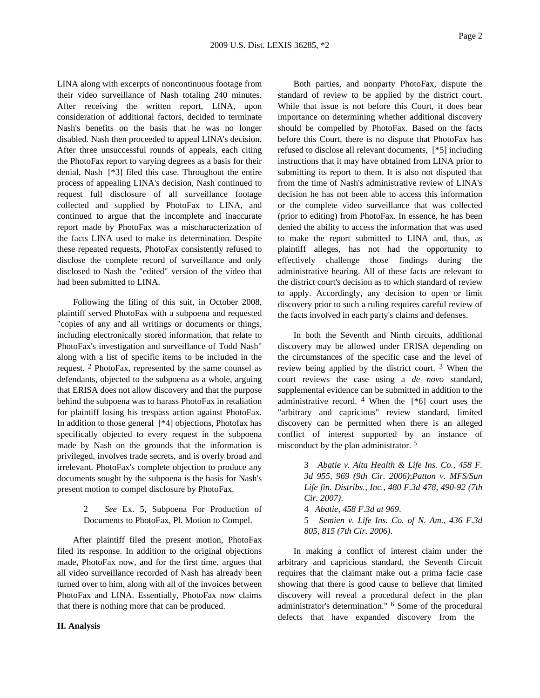LINA along with excerpts of noncontinuous footage from their video surveillance of Nash totaling 240 minutes. After receiving the written report, LINA, upon consideration of additional factors, decided to terminate Nash's benefits on the basis that he was no longer disabled. Nash then proceeded to appeal LINA's decision. After three unsuccessful rounds of appeals, each citing the PhotoFax report to varying degrees as a basis for their denial, Nash [\*3] filed this case. Throughout the entire process of appealing LINA's decision, Nash continued to request full disclosure of all surveillance footage collected and supplied by PhotoFax to LINA, and continued to argue that the incomplete and inaccurate report made by PhotoFax was a mischaracterization of the facts LINA used to make its determination. Despite these repeated requests, PhotoFax consistently refused to disclose the complete record of surveillance and only disclosed to Nash the "edited" version of the video that had been submitted to LINA.

Following the filing of this suit, in October 2008, plaintiff served PhotoFax with a subpoena and requested "copies of any and all writings or documents or things, including electronically stored information, that relate to PhotoFax's investigation and surveillance of Todd Nash" along with a list of specific items to be included in the request. 2 PhotoFax, represented by the same counsel as defendants, objected to the subpoena as a whole, arguing that ERISA does not allow discovery and that the purpose behind the subpoena was to harass PhotoFax in retaliation for plaintiff losing his trespass action against PhotoFax. In addition to those general [\*4] objections, Photofax has specifically objected to every request in the subpoena made by Nash on the grounds that the information is privileged, involves trade secrets, and is overly broad and irrelevant. PhotoFax's complete objection to produce any documents sought by the subpoena is the basis for Nash's present motion to compel disclosure by PhotoFax.

> 2 *See* Ex. 5, Subpoena For Production of Documents to PhotoFax, Pl. Motion to Compel.

After plaintiff filed the present motion, PhotoFax filed its response. In addition to the original objections made, PhotoFax now, and for the first time, argues that all video surveillance recorded of Nash has already been turned over to him, along with all of the invoices between PhotoFax and LINA. Essentially, PhotoFax now claims that there is nothing more that can be produced.

### **II. Analysis**

Both parties, and nonparty PhotoFax, dispute the standard of review to be applied by the district court. While that issue is not before this Court, it does bear importance on determining whether additional discovery should be compelled by PhotoFax. Based on the facts before this Court, there is no dispute that PhotoFax has refused to disclose all relevant documents, [\*5] including instructions that it may have obtained from LINA prior to submitting its report to them. It is also not disputed that from the time of Nash's administrative review of LINA's decision he has not been able to access this information or the complete video surveillance that was collected (prior to editing) from PhotoFax. In essence, he has been denied the ability to access the information that was used to make the report submitted to LINA and, thus, as plaintiff alleges, has not had the opportunity to effectively challenge those findings during the administrative hearing. All of these facts are relevant to the district court's decision as to which standard of review to apply. Accordingly, any decision to open or limit discovery prior to such a ruling requires careful review of the facts involved in each party's claims and defenses.

In both the Seventh and Ninth circuits, additional discovery may be allowed under ERISA depending on the circumstances of the specific case and the level of review being applied by the district court. 3 When the court reviews the case using a *de novo* standard, supplemental evidence can be submitted in addition to the administrative record.  $4$  When the  $[*6]$  court uses the "arbitrary and capricious" review standard, limited discovery can be permitted when there is an alleged conflict of interest supported by an instance of misconduct by the plan administrator. 5

> 3 *Abatie v. Alta Health & Life Ins. Co., 458 F. 3d 955, 969 (9th Cir. 2006)*;*Patton v. MFS/Sun Life fin. Distribs., Inc., 480 F.3d 478, 490-92 (7th Cir. 2007)*.

> 4 *Abatie, 458 F.3d at 969*. 5 *Semien v. Life Ins. Co. of N. Am., 436 F.3d*

*805, 815 (7th Cir. 2006)*.

In making a conflict of interest claim under the arbitrary and capricious standard, the Seventh Circuit requires that the claimant make out a prima facie case showing that there is good cause to believe that limited discovery will reveal a procedural defect in the plan administrator's determination." 6 Some of the procedural defects that have expanded discovery from the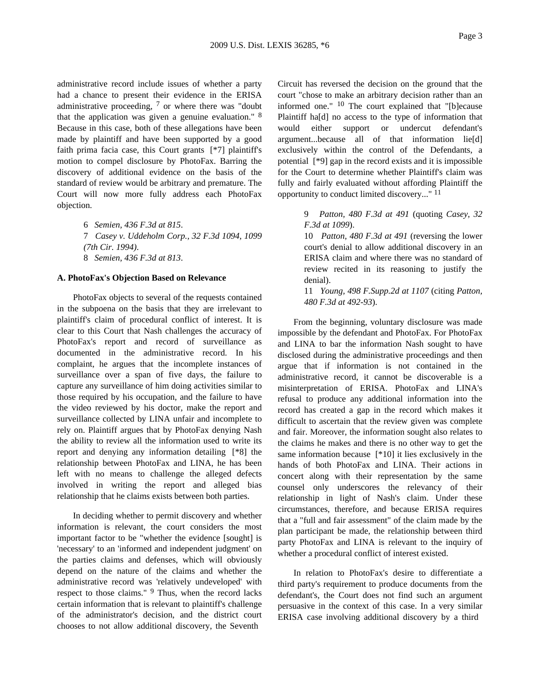administrative record include issues of whether a party had a chance to present their evidence in the ERISA administrative proceeding,  $7$  or where there was "doubt" that the application was given a genuine evaluation." 8 Because in this case, both of these allegations have been made by plaintiff and have been supported by a good faith prima facia case, this Court grants [\*7] plaintiff's motion to compel disclosure by PhotoFax. Barring the discovery of additional evidence on the basis of the standard of review would be arbitrary and premature. The Court will now more fully address each PhotoFax objection.

> *Semien, 436 F.3d at 815*. *Casey v. Uddeholm Corp., 32 F.3d 1094, 1099 (7th Cir. 1994)*. *Semien, 436 F.3d at 813*.

#### **A. PhotoFax's Objection Based on Relevance**

PhotoFax objects to several of the requests contained in the subpoena on the basis that they are irrelevant to plaintiff's claim of procedural conflict of interest. It is clear to this Court that Nash challenges the accuracy of PhotoFax's report and record of surveillance as documented in the administrative record. In his complaint, he argues that the incomplete instances of surveillance over a span of five days, the failure to capture any surveillance of him doing activities similar to those required by his occupation, and the failure to have the video reviewed by his doctor, make the report and surveillance collected by LINA unfair and incomplete to rely on. Plaintiff argues that by PhotoFax denying Nash the ability to review all the information used to write its report and denying any information detailing [\*8] the relationship between PhotoFax and LINA, he has been left with no means to challenge the alleged defects involved in writing the report and alleged bias relationship that he claims exists between both parties.

In deciding whether to permit discovery and whether information is relevant, the court considers the most important factor to be "whether the evidence [sought] is 'necessary' to an 'informed and independent judgment' on the parties claims and defenses, which will obviously depend on the nature of the claims and whether the administrative record was 'relatively undeveloped' with respect to those claims." <sup>9</sup> Thus, when the record lacks certain information that is relevant to plaintiff's challenge of the administrator's decision, and the district court chooses to not allow additional discovery, the Seventh

Circuit has reversed the decision on the ground that the court "chose to make an arbitrary decision rather than an informed one." 10 The court explained that "[b]ecause Plaintiff ha[d] no access to the type of information that would either support or undercut defendant's argument...because all of that information lie[d] exclusively within the control of the Defendants, a potential [\*9] gap in the record exists and it is impossible for the Court to determine whether Plaintiff's claim was fully and fairly evaluated without affording Plaintiff the opportunity to conduct limited discovery..." 11

> 9 *Patton, 480 F.3d at 491* (quoting *Casey, 32 F.3d at 1099*).

> 10 *Patton, 480 F.3d at 491* (reversing the lower court's denial to allow additional discovery in an ERISA claim and where there was no standard of review recited in its reasoning to justify the denial).

> 11 *Young, 498 F.Supp.2d at 1107* (citing *Patton, 480 F.3d at 492-93*).

From the beginning, voluntary disclosure was made impossible by the defendant and PhotoFax. For PhotoFax and LINA to bar the information Nash sought to have disclosed during the administrative proceedings and then argue that if information is not contained in the administrative record, it cannot be discoverable is a misinterpretation of ERISA. PhotoFax and LINA's refusal to produce any additional information into the record has created a gap in the record which makes it difficult to ascertain that the review given was complete and fair. Moreover, the information sought also relates to the claims he makes and there is no other way to get the same information because [\*10] it lies exclusively in the hands of both PhotoFax and LINA. Their actions in concert along with their representation by the same counsel only underscores the relevancy of their relationship in light of Nash's claim. Under these circumstances, therefore, and because ERISA requires that a "full and fair assessment" of the claim made by the plan participant be made, the relationship between third party PhotoFax and LINA is relevant to the inquiry of whether a procedural conflict of interest existed.

In relation to PhotoFax's desire to differentiate a third party's requirement to produce documents from the defendant's, the Court does not find such an argument persuasive in the context of this case. In a very similar ERISA case involving additional discovery by a third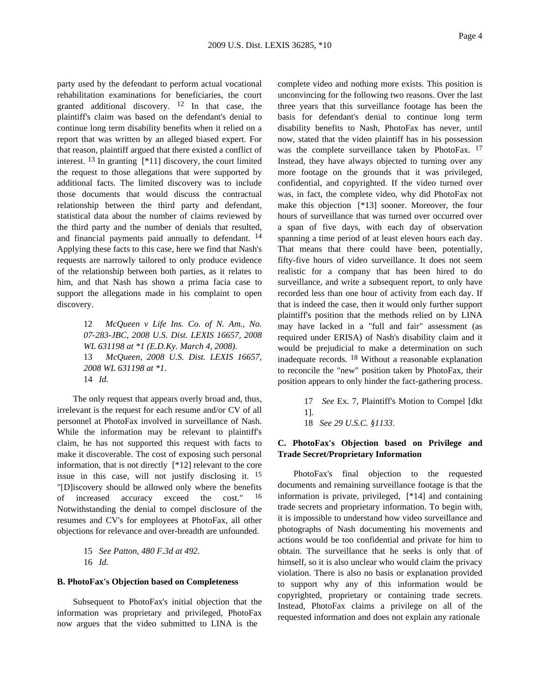party used by the defendant to perform actual vocational rehabilitation examinations for beneficiaries, the court granted additional discovery.  $12 \text{ In}$  that case, the plaintiff's claim was based on the defendant's denial to continue long term disability benefits when it relied on a report that was written by an alleged biased expert. For that reason, plaintiff argued that there existed a conflict of interest. 13 In granting [\*11] discovery, the court limited the request to those allegations that were supported by additional facts. The limited discovery was to include those documents that would discuss the contractual relationship between the third party and defendant, statistical data about the number of claims reviewed by the third party and the number of denials that resulted, and financial payments paid annually to defendant. <sup>14</sup> Applying these facts to this case, here we find that Nash's requests are narrowly tailored to only produce evidence of the relationship between both parties, as it relates to him, and that Nash has shown a prima facia case to support the allegations made in his complaint to open discovery.

> 12 *McQueen v Life Ins. Co. of N. Am., No. 07-283-JBC, 2008 U.S. Dist. LEXIS 16657, 2008 WL 631198 at \*1 (E.D.Ky. March 4, 2008)*. 13 *McQueen, 2008 U.S. Dist. LEXIS 16657, 2008 WL 631198 at \*1*. 14 *Id.*

The only request that appears overly broad and, thus, irrelevant is the request for each resume and/or CV of all personnel at PhotoFax involved in surveillance of Nash. While the information may be relevant to plaintiff's claim, he has not supported this request with facts to make it discoverable. The cost of exposing such personal information, that is not directly [\*12] relevant to the core issue in this case, will not justify disclosing it. 15 "[D]iscovery should be allowed only where the benefits of increased accuracy exceed the cost." 16 Notwithstanding the denial to compel disclosure of the resumes and CV's for employees at PhotoFax, all other objections for relevance and over-breadth are unfounded.

> 15 *See Patton, 480 F.3d at 492*. 16 *Id.*

#### **B. PhotoFax's Objection based on Completeness**

Subsequent to PhotoFax's initial objection that the information was proprietary and privileged, PhotoFax now argues that the video submitted to LINA is the

complete video and nothing more exists. This position is unconvincing for the following two reasons. Over the last three years that this surveillance footage has been the basis for defendant's denial to continue long term disability benefits to Nash, PhotoFax has never, until now, stated that the video plaintiff has in his possession was the complete surveillance taken by PhotoFax. <sup>17</sup> Instead, they have always objected to turning over any more footage on the grounds that it was privileged, confidential, and copyrighted. If the video turned over was, in fact, the complete video, why did PhotoFax not make this objection [\*13] sooner. Moreover, the four hours of surveillance that was turned over occurred over a span of five days, with each day of observation spanning a time period of at least eleven hours each day. That means that there could have been, potentially, fifty-five hours of video surveillance. It does not seem realistic for a company that has been hired to do surveillance, and write a subsequent report, to only have recorded less than one hour of activity from each day. If that is indeed the case, then it would only further support plaintiff's position that the methods relied on by LINA may have lacked in a "full and fair" assessment (as required under ERISA) of Nash's disability claim and it would be prejudicial to make a determination on such inadequate records. 18 Without a reasonable explanation to reconcile the "new" position taken by PhotoFax, their position appears to only hinder the fact-gathering process.

> 17 *See* Ex. 7, Plaintiff's Motion to Compel [dkt 1].

18 *See 29 U.S.C. §1133*.

### **C. PhotoFax's Objection based on Privilege and Trade Secret/Proprietary Information**

PhotoFax's final objection to the requested documents and remaining surveillance footage is that the information is private, privileged, [\*14] and containing trade secrets and proprietary information. To begin with, it is impossible to understand how video surveillance and photographs of Nash documenting his movements and actions would be too confidential and private for him to obtain. The surveillance that he seeks is only that of himself, so it is also unclear who would claim the privacy violation. There is also no basis or explanation provided to support why any of this information would be copyrighted, proprietary or containing trade secrets. Instead, PhotoFax claims a privilege on all of the requested information and does not explain any rationale